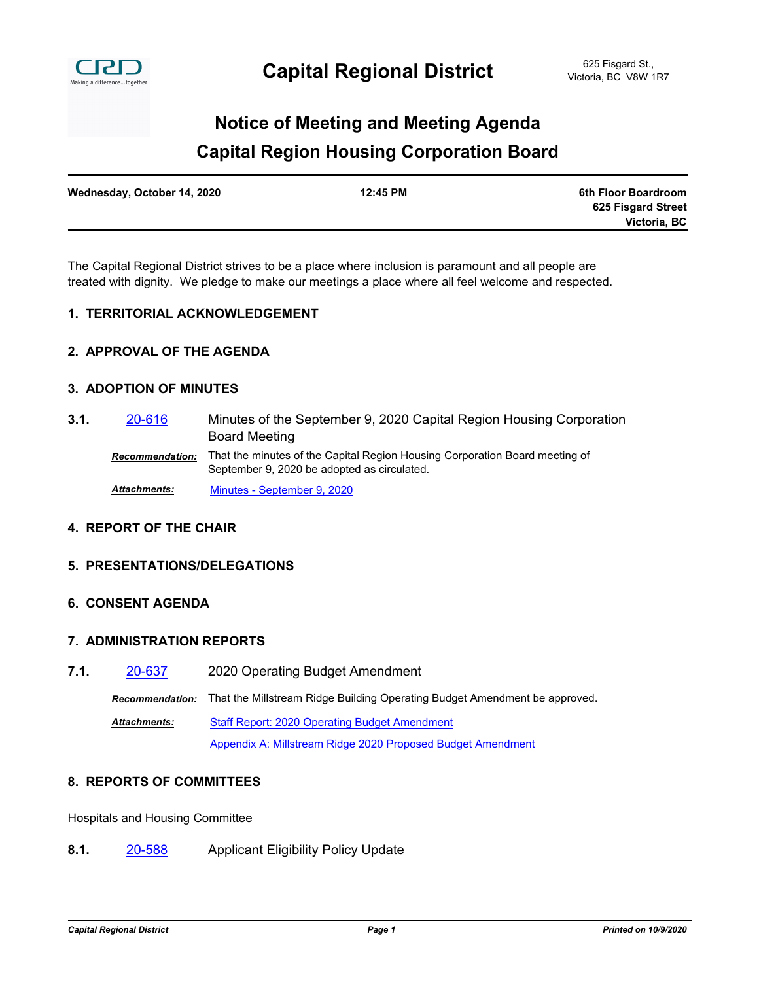

### **Capital Region Housing Corporation Board Notice of Meeting and Meeting Agenda**

| Wednesday, October 14, 2020 | 12:45 PM | 6th Floor Boardroom |
|-----------------------------|----------|---------------------|
|                             |          | 625 Fisgard Street  |
|                             |          | Victoria, BC        |

The Capital Regional District strives to be a place where inclusion is paramount and all people are treated with dignity. We pledge to make our meetings a place where all feel welcome and respected.

#### **1. TERRITORIAL ACKNOWLEDGEMENT**

#### **2. APPROVAL OF THE AGENDA**

#### **3. ADOPTION OF MINUTES**

Minutes of the September 9, 2020 Capital Region Housing Corporation Board Meeting **3.1.** [20-616](http://crd.ca.legistar.com/gateway.aspx?m=l&id=/matter.aspx?key=7749) *Recommendation:* That the minutes of the Capital Region Housing Corporation Board meeting of September 9, 2020 be adopted as circulated.

*Attachments:* [Minutes - September 9, 2020](http://crd.ca.legistar.com/gateway.aspx?M=F&ID=e7267147-21a0-4cd6-85b2-83c52f502518.pdf)

#### **4. REPORT OF THE CHAIR**

#### **5. PRESENTATIONS/DELEGATIONS**

#### **6. CONSENT AGENDA**

#### **7. ADMINISTRATION REPORTS**

**7.1.** [20-637](http://crd.ca.legistar.com/gateway.aspx?m=l&id=/matter.aspx?key=7770) 2020 Operating Budget Amendment

*Recommendation:* That the Millstream Ridge Building Operating Budget Amendment be approved.

[Staff Report: 2020 Operating Budget Amendment](http://crd.ca.legistar.com/gateway.aspx?M=F&ID=ff87f4e2-105b-4df5-a28f-9446fdf038f5.docx) [Appendix A: Millstream Ridge 2020 Proposed Budget Amendment](http://crd.ca.legistar.com/gateway.aspx?M=F&ID=6ef95c7e-0eee-42d3-909d-c467116de7ca.pdf) *Attachments:*

#### **8. REPORTS OF COMMITTEES**

Hospitals and Housing Committee

**8.1.** [20-588](http://crd.ca.legistar.com/gateway.aspx?m=l&id=/matter.aspx?key=6722) Applicant Eligibility Policy Update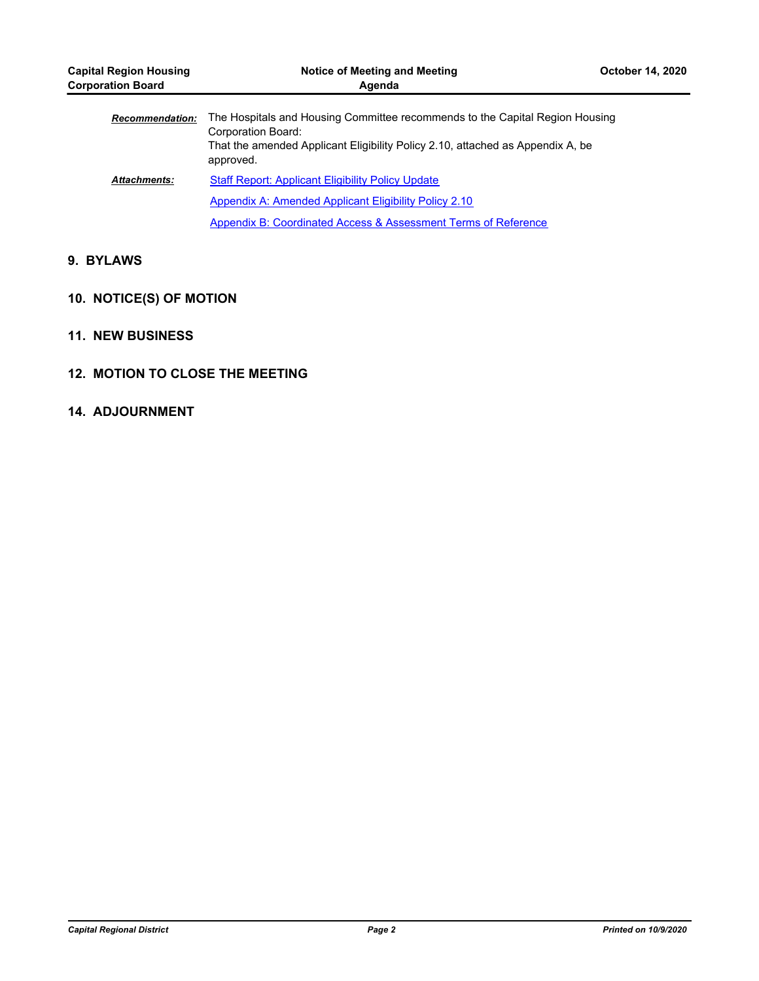| <b>Capital Region Housing</b><br><b>Corporation Board</b> | Notice of Meeting and Meeting<br><b>October 14, 2020</b><br>Agenda                                                                                                                                |  |
|-----------------------------------------------------------|---------------------------------------------------------------------------------------------------------------------------------------------------------------------------------------------------|--|
| <b>Recommendation:</b>                                    | The Hospitals and Housing Committee recommends to the Capital Region Housing<br>Corporation Board:<br>That the amended Applicant Eligibility Policy 2.10, attached as Appendix A, be<br>approved. |  |
| <b>Attachments:</b>                                       | <b>Staff Report: Applicant Eligibility Policy Update</b>                                                                                                                                          |  |
|                                                           | Appendix A: Amended Applicant Eligibility Policy 2.10                                                                                                                                             |  |
|                                                           | Appendix B: Coordinated Access & Assessment Terms of Reference                                                                                                                                    |  |

#### **9. BYLAWS**

#### **10. NOTICE(S) OF MOTION**

- **11. NEW BUSINESS**
- **12. MOTION TO CLOSE THE MEETING**

#### **14. ADJOURNMENT**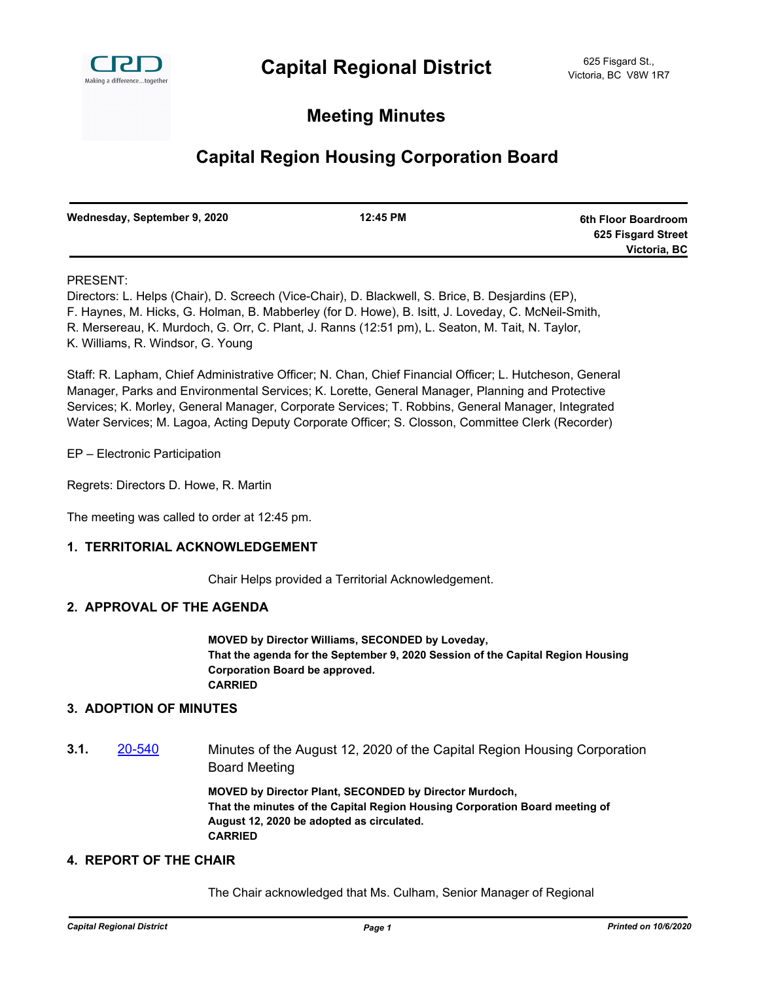

#### **Meeting Minutes**

### **Capital Region Housing Corporation Board**

| Wednesday, September 9, 2020 | 12:45 PM | 6th Floor Boardroom |
|------------------------------|----------|---------------------|
|                              |          | 625 Fisgard Street  |
|                              |          | Victoria, BC        |

#### PRESENT:

Directors: L. Helps (Chair), D. Screech (Vice-Chair), D. Blackwell, S. Brice, B. Desjardins (EP), F. Haynes, M. Hicks, G. Holman, B. Mabberley (for D. Howe), B. Isitt, J. Loveday, C. McNeil-Smith, R. Mersereau, K. Murdoch, G. Orr, C. Plant, J. Ranns (12:51 pm), L. Seaton, M. Tait, N. Taylor, K. Williams, R. Windsor, G. Young

Staff: R. Lapham, Chief Administrative Officer; N. Chan, Chief Financial Officer; L. Hutcheson, General Manager, Parks and Environmental Services; K. Lorette, General Manager, Planning and Protective Services; K. Morley, General Manager, Corporate Services; T. Robbins, General Manager, Integrated Water Services; M. Lagoa, Acting Deputy Corporate Officer; S. Closson, Committee Clerk (Recorder)

EP – Electronic Participation

Regrets: Directors D. Howe, R. Martin

The meeting was called to order at 12:45 pm.

#### **1. TERRITORIAL ACKNOWLEDGEMENT**

Chair Helps provided a Territorial Acknowledgement.

#### **2. APPROVAL OF THE AGENDA**

**MOVED by Director Williams, SECONDED by Loveday, That the agenda for the September 9, 2020 Session of the Capital Region Housing Corporation Board be approved. CARRIED**

#### **3. ADOPTION OF MINUTES**

**3.1.** [20-540](http://crd.ca.legistar.com/gateway.aspx?m=l&id=/matter.aspx?key=6674) Minutes of the August 12, 2020 of the Capital Region Housing Corporation Board Meeting

> **MOVED by Director Plant, SECONDED by Director Murdoch, That the minutes of the Capital Region Housing Corporation Board meeting of August 12, 2020 be adopted as circulated. CARRIED**

#### **4. REPORT OF THE CHAIR**

The Chair acknowledged that Ms. Culham, Senior Manager of Regional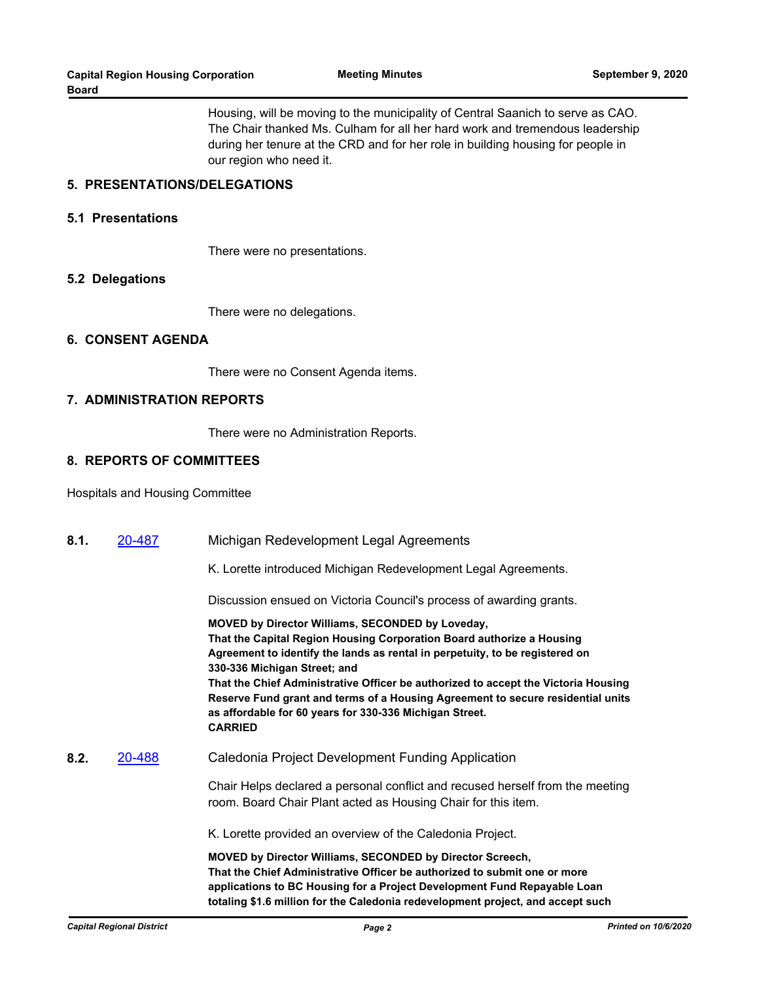Housing, will be moving to the municipality of Central Saanich to serve as CAO. The Chair thanked Ms. Culham for all her hard work and tremendous leadership during her tenure at the CRD and for her role in building housing for people in our region who need it.

#### **5. PRESENTATIONS/DELEGATIONS**

#### **5.1 Presentations**

There were no presentations.

#### **5.2 Delegations**

There were no delegations.

#### **6. CONSENT AGENDA**

There were no Consent Agenda items.

#### **7. ADMINISTRATION REPORTS**

There were no Administration Reports.

#### **8. REPORTS OF COMMITTEES**

Hospitals and Housing Committee

| 8.1. | 20-487 | Michigan Redevelopment Legal Agreements                                                                                                                                                                                                                                                                                                                                                                                                                                                         |
|------|--------|-------------------------------------------------------------------------------------------------------------------------------------------------------------------------------------------------------------------------------------------------------------------------------------------------------------------------------------------------------------------------------------------------------------------------------------------------------------------------------------------------|
|      |        | K. Lorette introduced Michigan Redevelopment Legal Agreements.                                                                                                                                                                                                                                                                                                                                                                                                                                  |
|      |        | Discussion ensued on Victoria Council's process of awarding grants.                                                                                                                                                                                                                                                                                                                                                                                                                             |
|      |        | MOVED by Director Williams, SECONDED by Loveday,<br>That the Capital Region Housing Corporation Board authorize a Housing<br>Agreement to identify the lands as rental in perpetuity, to be registered on<br>330-336 Michigan Street; and<br>That the Chief Administrative Officer be authorized to accept the Victoria Housing<br>Reserve Fund grant and terms of a Housing Agreement to secure residential units<br>as affordable for 60 years for 330-336 Michigan Street.<br><b>CARRIED</b> |
| 8.2. | 20-488 | Caledonia Project Development Funding Application                                                                                                                                                                                                                                                                                                                                                                                                                                               |
|      |        | Chair Helps declared a personal conflict and recused herself from the meeting<br>room. Board Chair Plant acted as Housing Chair for this item.                                                                                                                                                                                                                                                                                                                                                  |
|      |        | K. Lorette provided an overview of the Caledonia Project.                                                                                                                                                                                                                                                                                                                                                                                                                                       |
|      |        | MOVED by Director Williams, SECONDED by Director Screech,<br>That the Chief Administrative Officer be authorized to submit one or more<br>applications to BC Housing for a Project Development Fund Repayable Loan<br>totaling \$1.6 million for the Caledonia redevelopment project, and accept such                                                                                                                                                                                           |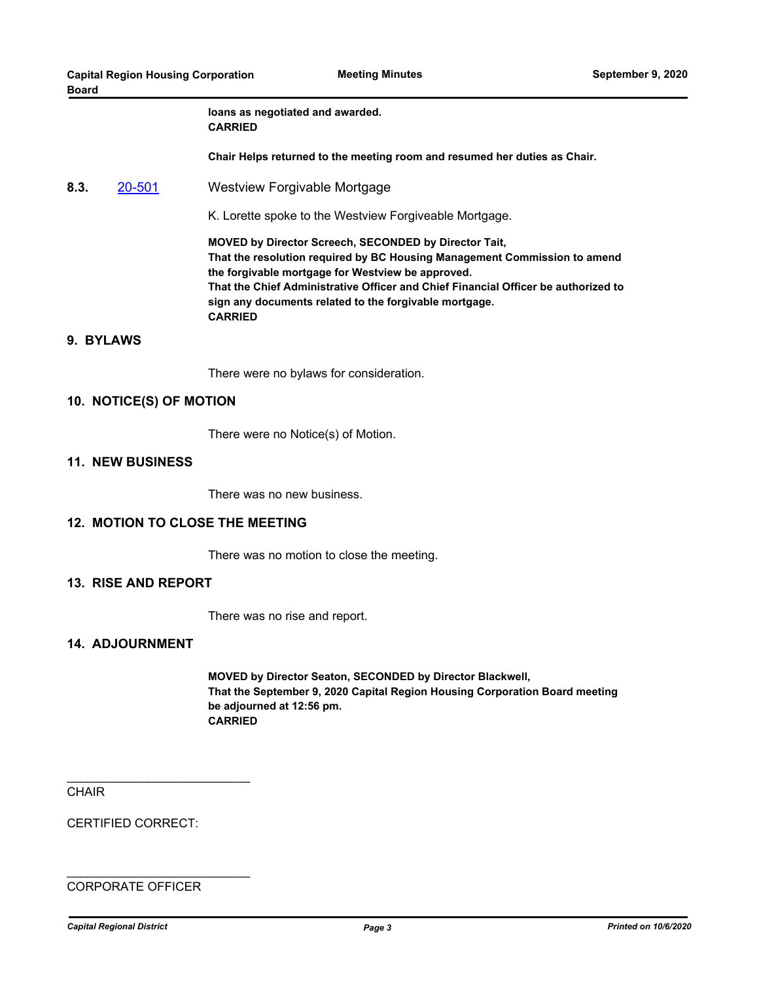#### **loans as negotiated and awarded. CARRIED**

**Chair Helps returned to the meeting room and resumed her duties as Chair.**

**8.3.** [20-501](http://crd.ca.legistar.com/gateway.aspx?m=l&id=/matter.aspx?key=6635) Westview Forgivable Mortgage

K. Lorette spoke to the Westview Forgiveable Mortgage.

**MOVED by Director Screech, SECONDED by Director Tait, That the resolution required by BC Housing Management Commission to amend the forgivable mortgage for Westview be approved. That the Chief Administrative Officer and Chief Financial Officer be authorized to sign any documents related to the forgivable mortgage. CARRIED**

#### **9. BYLAWS**

There were no bylaws for consideration.

#### **10. NOTICE(S) OF MOTION**

There were no Notice(s) of Motion.

#### **11. NEW BUSINESS**

There was no new business.

#### **12. MOTION TO CLOSE THE MEETING**

There was no motion to close the meeting.

#### **13. RISE AND REPORT**

There was no rise and report.

#### **14. ADJOURNMENT**

**MOVED by Director Seaton, SECONDED by Director Blackwell, That the September 9, 2020 Capital Region Housing Corporation Board meeting be adjourned at 12:56 pm. CARRIED**

**CHAIR** 

CERTIFIED CORRECT:

\_\_\_\_\_\_\_\_\_\_\_\_\_\_\_\_\_\_\_\_\_\_\_\_\_\_\_

\_\_\_\_\_\_\_\_\_\_\_\_\_\_\_\_\_\_\_\_\_\_\_\_\_\_\_

#### CORPORATE OFFICER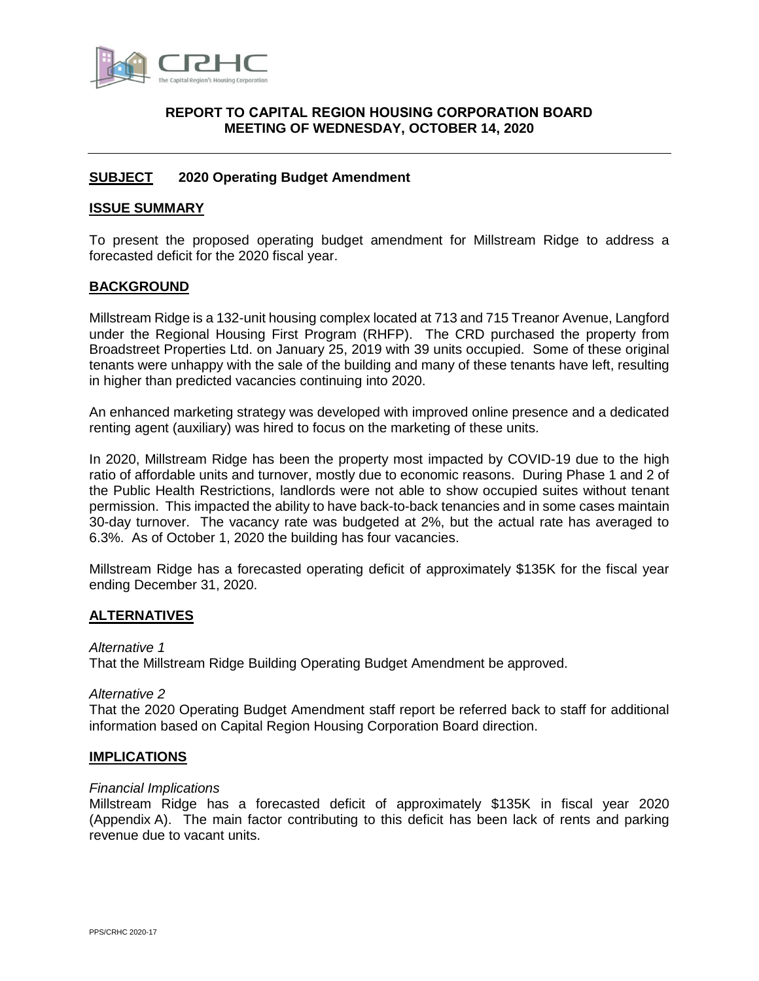

#### <span id="page-6-0"></span>**[REPORT](#page-6-0) TO CAPITAL REGION HOUSING CORPORATION BOARD MEETING OF WEDNESDAY, OCTOBER 14, 2020**

#### <span id="page-6-1"></span>**[SUBJECT](#page-6-1) 2020 Operating Budget Amendment**

#### <span id="page-6-2"></span>**[ISSUE SUMMARY](#page-6-2)**

To present the proposed operating budget amendment for Millstream Ridge to address a forecasted deficit for the 2020 fiscal year.

#### <span id="page-6-3"></span>**[BACKGROUND](#page-6-3)**

Millstream Ridge is a 132-unit housing complex located at 713 and 715 Treanor Avenue, Langford under the Regional Housing First Program (RHFP). The CRD purchased the property from Broadstreet Properties Ltd. on January 25, 2019 with 39 units occupied. Some of these original tenants were unhappy with the sale of the building and many of these tenants have left, resulting in higher than predicted vacancies continuing into 2020.

An enhanced marketing strategy was developed with improved online presence and a dedicated renting agent (auxiliary) was hired to focus on the marketing of these units.

In 2020, Millstream Ridge has been the property most impacted by COVID-19 due to the high ratio of affordable units and turnover, mostly due to economic reasons. During Phase 1 and 2 of the Public Health Restrictions, landlords were not able to show occupied suites without tenant permission. This impacted the ability to have back-to-back tenancies and in some cases maintain 30-day turnover. The vacancy rate was budgeted at 2%, but the actual rate has averaged to 6.3%. As of October 1, 2020 the building has four vacancies.

Millstream Ridge has a forecasted operating deficit of approximately \$135K for the fiscal year ending December 31, 2020.

#### <span id="page-6-4"></span>**[ALTERNATIVES](#page-6-4)**

#### *Alternative 1*

<span id="page-6-6"></span>That the Millstream Ridge Building Operating Budget Amendment be approved.

#### *Alternative 2*

That the 2020 Operating Budget Amendment staff report be referred back to staff for additional information based on Capital Region Housing Corporation Board direction.

#### <span id="page-6-5"></span>**[IMPLICATIONS](#page-6-5)**

#### *Financial Implications*

Millstream Ridge has a forecasted deficit of approximately \$135K in fiscal year 2020 (Appendix A). The main factor contributing to this deficit has been lack of rents and parking revenue due to vacant units.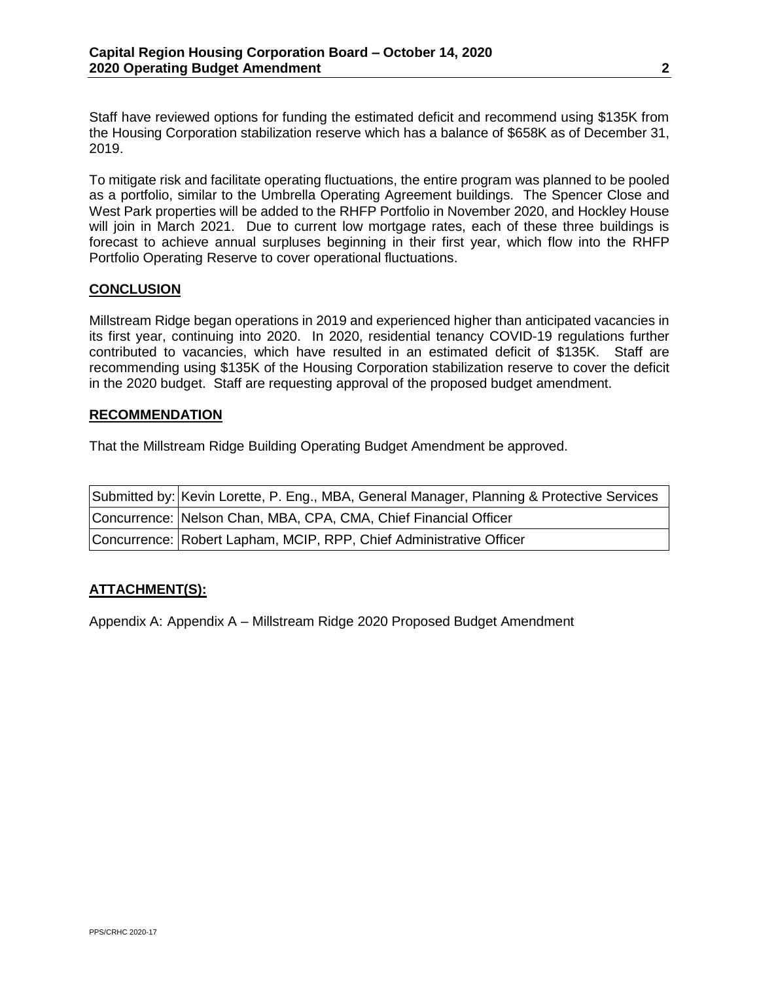Staff have reviewed options for funding the estimated deficit and recommend using \$135K from the Housing Corporation stabilization reserve which has a balance of \$658K as of December 31, 2019.

To mitigate risk and facilitate operating fluctuations, the entire program was planned to be pooled as a portfolio, similar to the Umbrella Operating Agreement buildings. The Spencer Close and West Park properties will be added to the RHFP Portfolio in November 2020, and Hockley House will join in March 2021. Due to current low mortgage rates, each of these three buildings is forecast to achieve annual surpluses beginning in their first year, which flow into the RHFP Portfolio Operating Reserve to cover operational fluctuations.

#### <span id="page-7-0"></span>**[CONCLUSION](#page-7-0)**

Millstream Ridge began operations in 2019 and experienced higher than anticipated vacancies in its first year, continuing into 2020. In 2020, residential tenancy COVID-19 regulations further contributed to vacancies, which have resulted in an estimated deficit of \$135K. Staff are recommending using \$135K of the Housing Corporation stabilization reserve to cover the deficit in the 2020 budget. Staff are requesting approval of the proposed budget amendment.

#### **RECOMMENDATION**

[That the Millstream Ridge Building Operating Budget Amendment be approved.](#page-6-6)

| Submitted by: Kevin Lorette, P. Eng., MBA, General Manager, Planning & Protective Services |
|--------------------------------------------------------------------------------------------|
| Concurrence: Nelson Chan, MBA, CPA, CMA, Chief Financial Officer                           |
| Concurrence: Robert Lapham, MCIP, RPP, Chief Administrative Officer                        |

#### **ATTACHMENT(S):**

Appendix A: Appendix A – Millstream Ridge 2020 Proposed Budget Amendment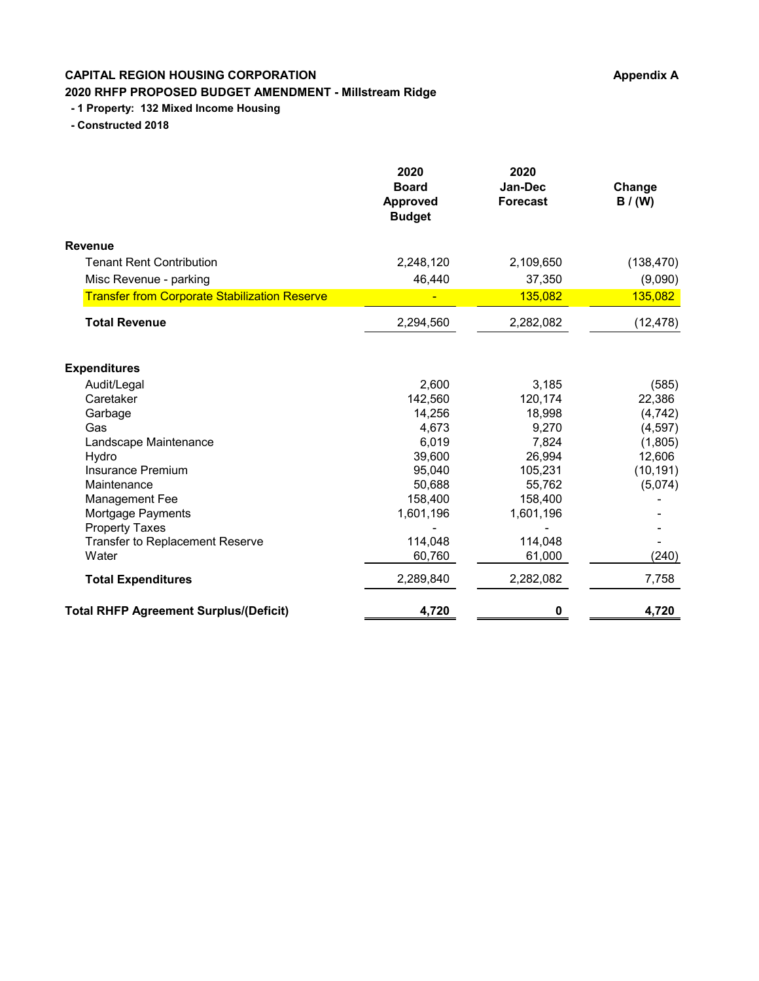### **CAPITAL REGION HOUSING CORPORATION Appendix A Appendix A 2020 RHFP PROPOSED BUDGET AMENDMENT - Millstream Ridge**

### **- 1 Property: 132 Mixed Income Housing**

 **- Constructed 2018**

|                                                      | 2020<br><b>Board</b><br><b>Approved</b><br><b>Budget</b> | 2020<br>Jan-Dec<br><b>Forecast</b> | Change<br>B / (W) |
|------------------------------------------------------|----------------------------------------------------------|------------------------------------|-------------------|
| <b>Revenue</b>                                       |                                                          |                                    |                   |
| <b>Tenant Rent Contribution</b>                      | 2,248,120                                                | 2,109,650                          | (138, 470)        |
| Misc Revenue - parking                               | 46,440                                                   | 37,350                             | (9,090)           |
| <b>Transfer from Corporate Stabilization Reserve</b> |                                                          | 135,082                            | 135,082           |
| <b>Total Revenue</b>                                 | 2,294,560                                                | 2,282,082                          | (12, 478)         |
| <b>Expenditures</b>                                  |                                                          |                                    |                   |
| Audit/Legal                                          | 2,600                                                    | 3,185                              | (585)             |
| Caretaker                                            | 142,560                                                  | 120,174                            | 22,386            |
| Garbage                                              | 14,256                                                   | 18,998                             | (4, 742)          |
| Gas                                                  | 4,673                                                    | 9,270                              | (4,597)           |
| Landscape Maintenance                                | 6,019                                                    | 7,824                              | (1,805)           |
| Hydro                                                | 39,600                                                   | 26,994                             | 12,606            |
| <b>Insurance Premium</b>                             | 95,040                                                   | 105,231                            | (10, 191)         |
| Maintenance                                          | 50,688                                                   | 55,762                             | (5,074)           |
| <b>Management Fee</b>                                | 158,400                                                  | 158,400                            |                   |
| Mortgage Payments                                    | 1,601,196                                                | 1,601,196                          |                   |
| <b>Property Taxes</b>                                |                                                          |                                    |                   |
| <b>Transfer to Replacement Reserve</b>               | 114,048                                                  | 114,048                            |                   |
| Water                                                | 60,760                                                   | 61,000                             | (240)             |
| <b>Total Expenditures</b>                            | 2,289,840                                                | 2,282,082                          | 7,758             |
| <b>Total RHFP Agreement Surplus/(Deficit)</b>        | 4,720                                                    | 0                                  | 4,720             |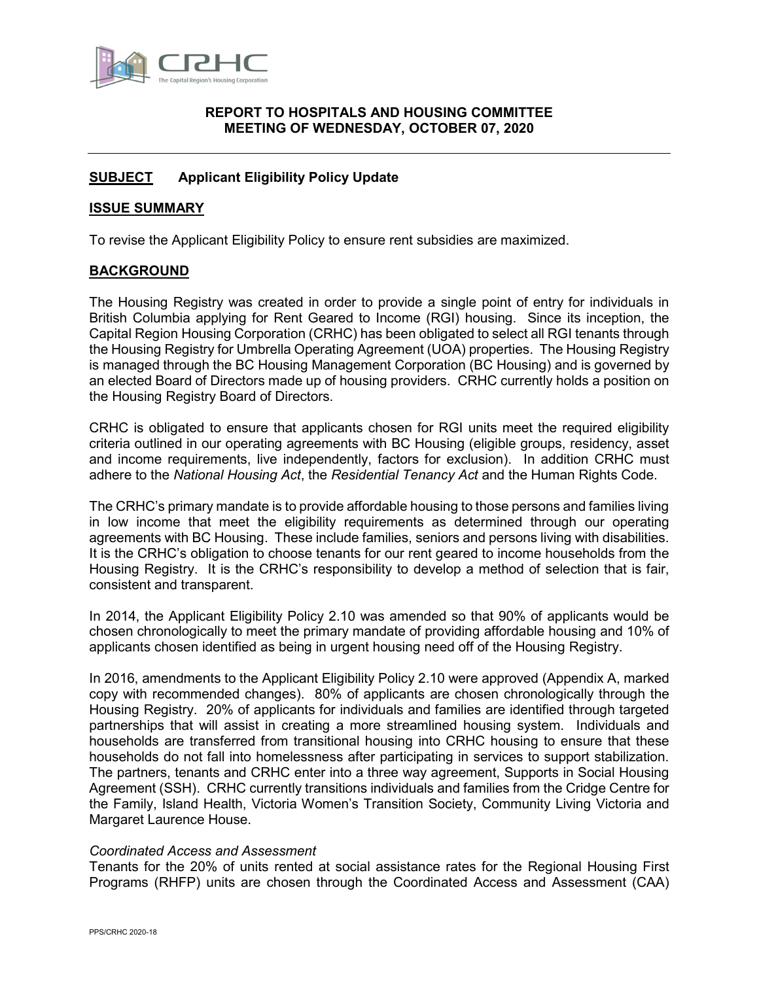

#### <span id="page-9-0"></span>**[REPORT](#page-9-0) TO HOSPITALS AND HOUSING COMMITTEE MEETING OF WEDNESDAY, OCTOBER 07, 2020**

#### <span id="page-9-1"></span>**[SUBJECT](#page-9-1) Applicant Eligibility Policy Update**

#### <span id="page-9-2"></span>**[ISSUE SUMMARY](#page-9-2)**

To revise the Applicant Eligibility Policy to ensure rent subsidies are maximized.

#### **BACKGROUND**

The Housing Registry was created in order to provide a single point of entry for individuals in British Columbia applying for Rent Geared to Income (RGI) housing. Since its inception, the Capital Region Housing Corporation (CRHC) has been obligated to select all RGI tenants through the Housing Registry for Umbrella Operating Agreement (UOA) properties. The Housing Registry is managed through the BC Housing Management Corporation (BC Housing) and is governed by an elected Board of Directors made up of housing providers. CRHC currently holds a position on the Housing Registry Board of Directors.

CRHC is obligated to ensure that applicants chosen for RGI units meet the required eligibility criteria outlined in our operating agreements with BC Housing (eligible groups, residency, asset and income requirements, live independently, factors for exclusion). In addition CRHC must adhere to the *National Housing Act*, the *Residential Tenancy Act* and the Human Rights Code.

The CRHC's primary mandate is to provide affordable housing to those persons and families living in low income that meet the eligibility requirements as determined through our operating agreements with BC Housing. These include families, seniors and persons living with disabilities. It is the CRHC's obligation to choose tenants for our rent geared to income households from the Housing Registry. It is the CRHC's responsibility to develop a method of selection that is fair, consistent and transparent.

In 2014, the Applicant Eligibility Policy 2.10 was amended so that 90% of applicants would be chosen chronologically to meet the primary mandate of providing affordable housing and 10% of applicants chosen identified as being in urgent housing need off of the Housing Registry.

In 2016, amendments to the Applicant Eligibility Policy 2.10 were approved (Appendix A, marked copy with recommended changes). 80% of applicants are chosen chronologically through the Housing Registry. 20% of applicants for individuals and families are identified through targeted partnerships that will assist in creating a more streamlined housing system. Individuals and households are transferred from transitional housing into CRHC housing to ensure that these households do not fall into homelessness after participating in services to support stabilization. The partners, tenants and CRHC enter into a three way agreement, Supports in Social Housing Agreement (SSH). CRHC currently transitions individuals and families from the Cridge Centre for the Family, Island Health, Victoria Women's Transition Society, Community Living Victoria and Margaret Laurence House.

#### *Coordinated Access and Assessment*

Tenants for the 20% of units rented at social assistance rates for the Regional Housing First Programs (RHFP) units are chosen through the Coordinated Access and Assessment (CAA)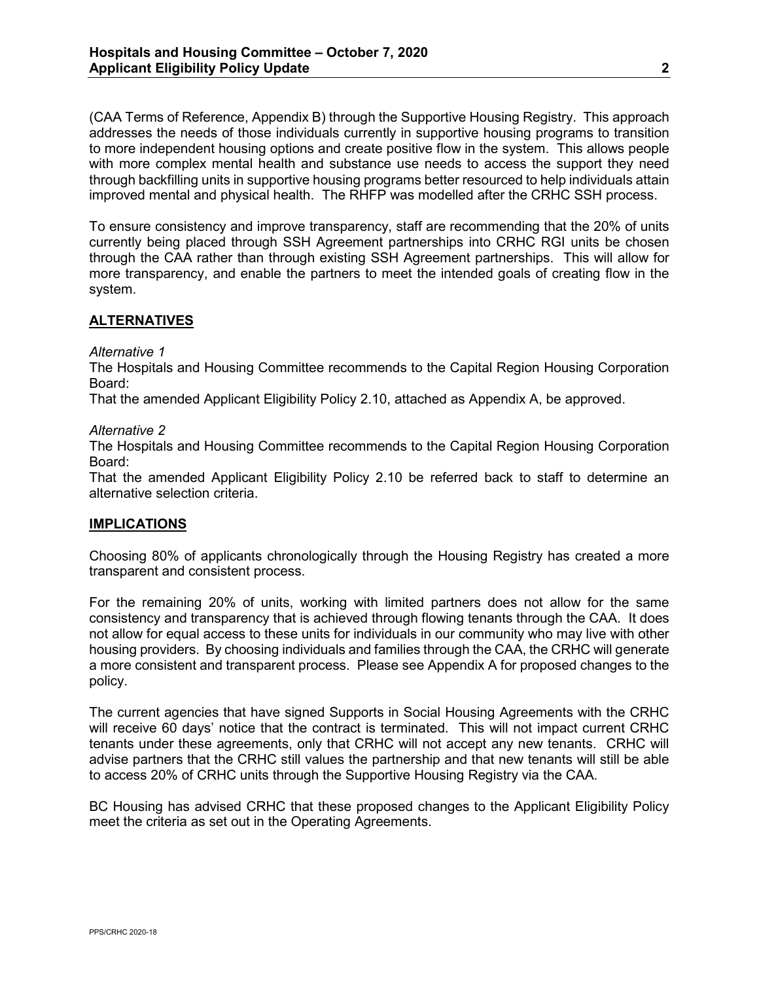(CAA Terms of Reference, Appendix B) through the Supportive Housing Registry. This approach addresses the needs of those individuals currently in supportive housing programs to transition to more independent housing options and create positive flow in the system. This allows people with more complex mental health and substance use needs to access the support they need through backfilling units in supportive housing programs better resourced to help individuals attain improved mental and physical health. The RHFP was modelled after the CRHC SSH process.

To ensure consistency and improve transparency, staff are recommending that the 20% of units currently being placed through SSH Agreement partnerships into CRHC RGI units be chosen through the CAA rather than through existing SSH Agreement partnerships. This will allow for more transparency, and enable the partners to meet the intended goals of creating flow in the system.

#### <span id="page-10-0"></span>**[ALTERNATIVES](#page-10-0)**

#### *Alternative 1*

<span id="page-10-1"></span>The Hospitals and Housing Committee recommends to the Capital Region Housing Corporation Board:

That the amended Applicant Eligibility Policy 2.10, attached as Appendix A, be approved.

#### *Alternative 2*

The Hospitals and Housing Committee recommends to the Capital Region Housing Corporation Board:

That the amended Applicant Eligibility Policy 2.10 be referred back to staff to determine an alternative selection criteria.

#### **IMPLICATIONS**

Choosing 80% of applicants chronologically through the Housing Registry has created a more transparent and consistent process.

For the remaining 20% of units, working with limited partners does not allow for the same consistency and transparency that is achieved through flowing tenants through the CAA. It does not allow for equal access to these units for individuals in our community who may live with other housing providers. By choosing individuals and families through the CAA, the CRHC will generate a more consistent and transparent process. Please see Appendix A for proposed changes to the policy.

The current agencies that have signed Supports in Social Housing Agreements with the CRHC will receive 60 days' notice that the contract is terminated. This will not impact current CRHC tenants under these agreements, only that CRHC will not accept any new tenants. CRHC will advise partners that the CRHC still values the partnership and that new tenants will still be able to access 20% of CRHC units through the Supportive Housing Registry via the CAA.

BC Housing has advised CRHC that these proposed changes to the Applicant Eligibility Policy meet the criteria as set out in the Operating Agreements.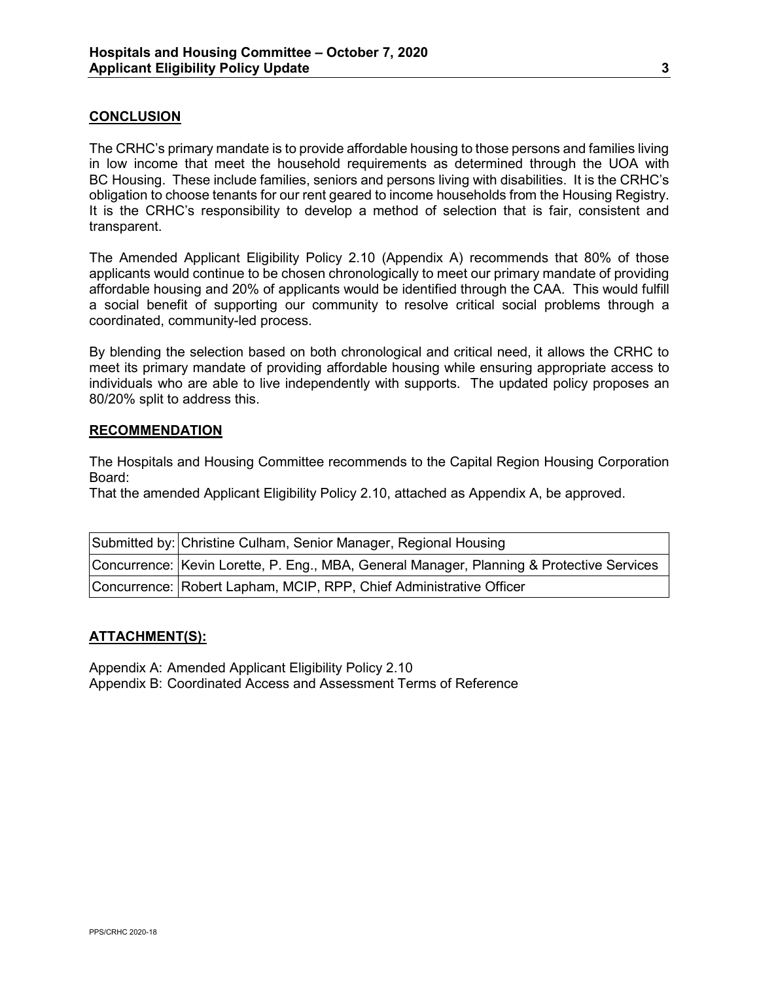#### **CONCLUSION**

The CRHC's primary mandate is to provide affordable housing to those persons and families living in low income that meet the household requirements as determined through the UOA with BC Housing. These include families, seniors and persons living with disabilities. It is the CRHC's obligation to choose tenants for our rent geared to income households from the Housing Registry. It is the CRHC's responsibility to develop a method of selection that is fair, consistent and transparent.

The Amended Applicant Eligibility Policy 2.10 (Appendix A) recommends that 80% of those applicants would continue to be chosen chronologically to meet our primary mandate of providing affordable housing and 20% of applicants would be identified through the CAA. This would fulfill a social benefit of supporting our community to resolve critical social problems through a coordinated, community-led process.

By blending the selection based on both chronological and critical need, it allows the CRHC to meet its primary mandate of providing affordable housing while ensuring appropriate access to individuals who are able to live independently with supports. The updated policy proposes an 80/20% split to address this.

#### **RECOMMENDATION**

The Hospitals and Housing Committee recommends [to the Capital Region Housing Corporation](#page-10-1)  [Board:](#page-10-1)

[That the amended Applicant Eligibility Policy 2.10, attached as Appendix A, be approved.](#page-10-1)

| Submitted by: Christine Culham, Senior Manager, Regional Housing                          |  |  |
|-------------------------------------------------------------------------------------------|--|--|
| Concurrence: Kevin Lorette, P. Eng., MBA, General Manager, Planning & Protective Services |  |  |
| Concurrence: Robert Lapham, MCIP, RPP, Chief Administrative Officer                       |  |  |

#### **ATTACHMENT(S):**

Appendix A: Amended Applicant Eligibility Policy 2.10 Appendix B: Coordinated Access and Assessment Terms of Reference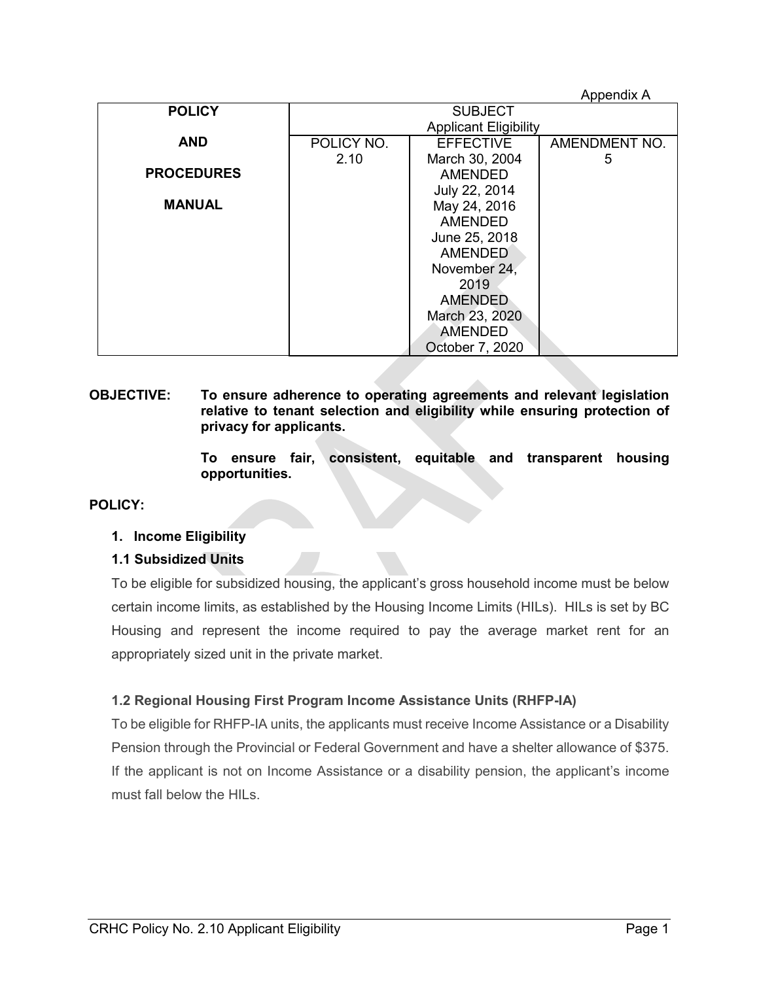|                   |                              |                  | Appendix A    |
|-------------------|------------------------------|------------------|---------------|
| <b>POLICY</b>     | <b>SUBJECT</b>               |                  |               |
|                   | <b>Applicant Eligibility</b> |                  |               |
| <b>AND</b>        | POLICY NO.                   | <b>EFFECTIVE</b> | AMENDMENT NO. |
|                   | 2.10                         | March 30, 2004   | 5             |
| <b>PROCEDURES</b> |                              | <b>AMENDED</b>   |               |
|                   |                              | July 22, 2014    |               |
| <b>MANUAL</b>     |                              | May 24, 2016     |               |
|                   |                              | <b>AMENDED</b>   |               |
|                   | June 25, 2018                |                  |               |
|                   | <b>AMENDED</b>               |                  |               |
|                   | November 24,                 |                  |               |
|                   | 2019                         |                  |               |
|                   |                              | <b>AMENDED</b>   |               |
|                   |                              | March 23, 2020   |               |
|                   |                              | <b>AMENDED</b>   |               |
|                   |                              | October 7, 2020  |               |

#### **OBJECTIVE: To ensure adherence to operating agreements and relevant legislation relative to tenant selection and eligibility while ensuring protection of privacy for applicants.**

**To ensure fair, consistent, equitable and transparent housing opportunities.**

#### **POLICY:**

#### **1. Income Eligibility**

#### **1.1 Subsidized Units**

To be eligible for subsidized housing, the applicant's gross household income must be below certain income limits, as established by the Housing Income Limits (HILs). HILs is set by BC Housing and represent the income required to pay the average market rent for an appropriately sized unit in the private market.

#### **1.2 Regional Housing First Program Income Assistance Units (RHFP-IA)**

To be eligible for RHFP-IA units, the applicants must receive Income Assistance or a Disability Pension through the Provincial or Federal Government and have a shelter allowance of \$375. If the applicant is not on Income Assistance or a disability pension, the applicant's income must fall below the HILs.

Appendix A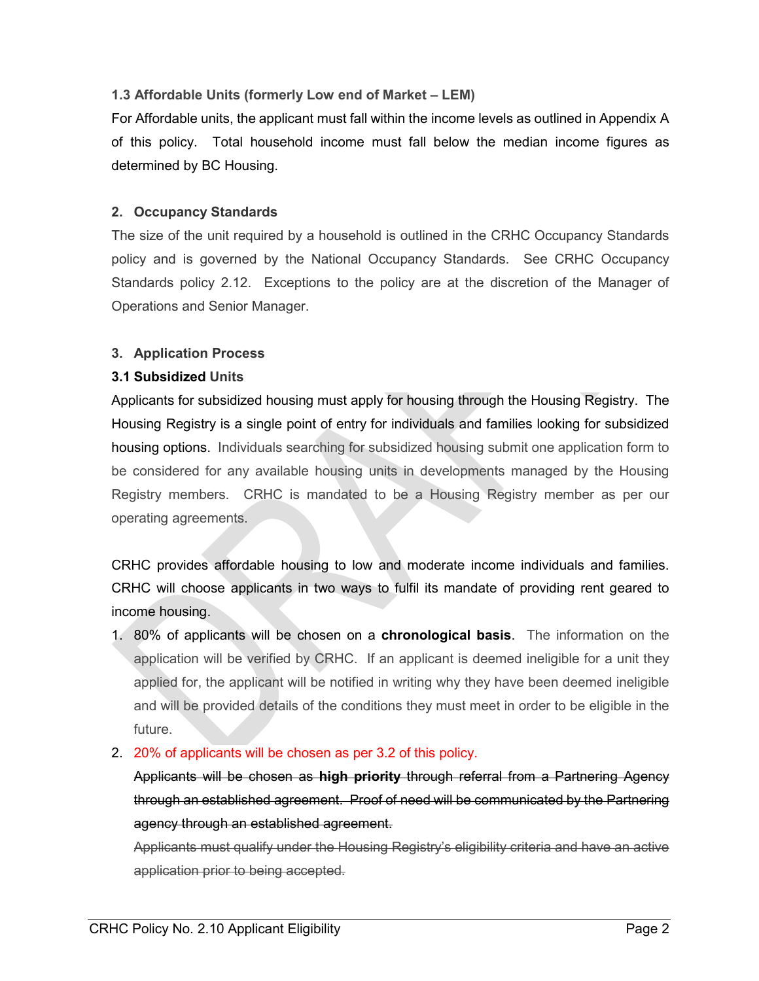#### **1.3 Affordable Units (formerly Low end of Market – LEM)**

For Affordable units, the applicant must fall within the income levels as outlined in Appendix A of this policy. Total household income must fall below the median income figures as determined by BC Housing.

#### **2. Occupancy Standards**

The size of the unit required by a household is outlined in the CRHC Occupancy Standards policy and is governed by the National Occupancy Standards. See CRHC Occupancy Standards policy 2.12. Exceptions to the policy are at the discretion of the Manager of Operations and Senior Manager.

#### **3. Application Process**

#### **3.1 Subsidized Units**

Applicants for subsidized housing must apply for housing through the Housing Registry. The Housing Registry is a single point of entry for individuals and families looking for subsidized housing options. Individuals searching for subsidized housing submit one application form to be considered for any available housing units in developments managed by the Housing Registry members. CRHC is mandated to be a Housing Registry member as per our operating agreements.

CRHC provides affordable housing to low and moderate income individuals and families. CRHC will choose applicants in two ways to fulfil its mandate of providing rent geared to income housing.

- 1. 80% of applicants will be chosen on a **chronological basis**. The information on the application will be verified by CRHC. If an applicant is deemed ineligible for a unit they applied for, the applicant will be notified in writing why they have been deemed ineligible and will be provided details of the conditions they must meet in order to be eligible in the future.
- 2. 20% of applicants will be chosen as per 3.2 of this policy.

Applicants will be chosen as **high priority** through referral from a Partnering Agency through an established agreement. Proof of need will be communicated by the Partnering agency through an established agreement.

Applicants must qualify under the Housing Registry's eligibility criteria and have an active application prior to being accepted.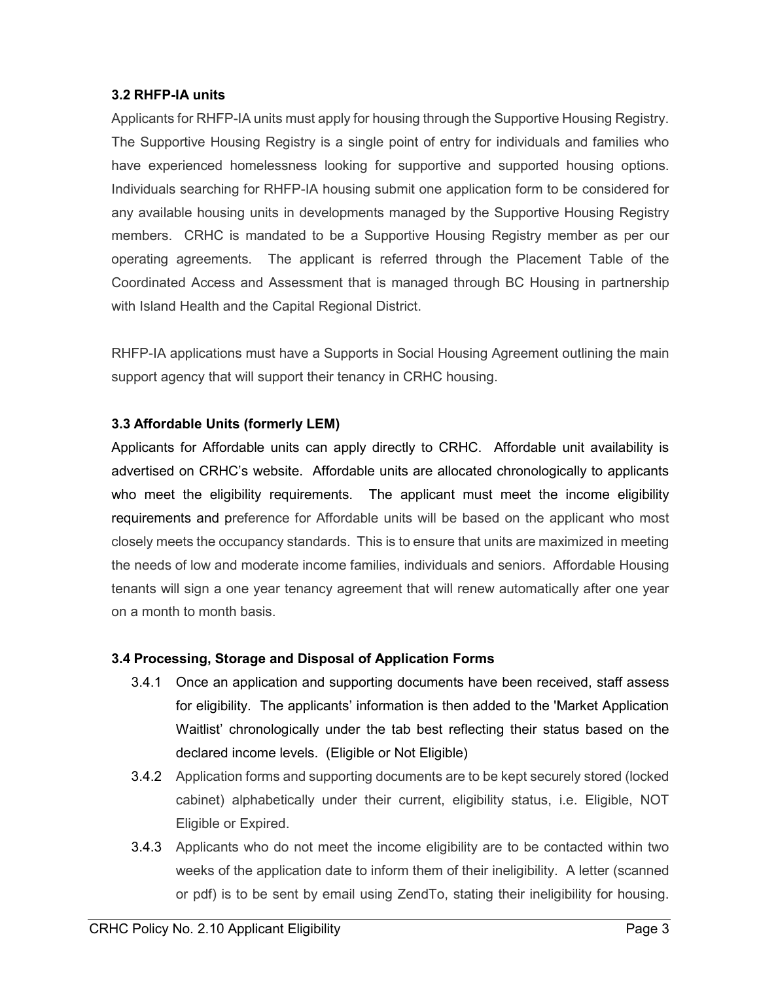#### **3.2 RHFP-IA units**

Applicants for RHFP-IA units must apply for housing through the Supportive Housing Registry. The Supportive Housing Registry is a single point of entry for individuals and families who have experienced homelessness looking for supportive and supported housing options. Individuals searching for RHFP-IA housing submit one application form to be considered for any available housing units in developments managed by the Supportive Housing Registry members. CRHC is mandated to be a Supportive Housing Registry member as per our operating agreements. The applicant is referred through the Placement Table of the Coordinated Access and Assessment that is managed through BC Housing in partnership with Island Health and the Capital Regional District.

RHFP-IA applications must have a Supports in Social Housing Agreement outlining the main support agency that will support their tenancy in CRHC housing.

#### **3.3 Affordable Units (formerly LEM)**

Applicants for Affordable units can apply directly to CRHC. Affordable unit availability is advertised on CRHC's website. Affordable units are allocated chronologically to applicants who meet the eligibility requirements. The applicant must meet the income eligibility requirements and preference for Affordable units will be based on the applicant who most closely meets the occupancy standards. This is to ensure that units are maximized in meeting the needs of low and moderate income families, individuals and seniors. Affordable Housing tenants will sign a one year tenancy agreement that will renew automatically after one year on a month to month basis.

#### **3.4 Processing, Storage and Disposal of Application Forms**

- 3.4.1 Once an application and supporting documents have been received, staff assess for eligibility. The applicants' information is then added to the 'Market Application Waitlist' chronologically under the tab best reflecting their status based on the declared income levels. (Eligible or Not Eligible)
- 3.4.2 Application forms and supporting documents are to be kept securely stored (locked cabinet) alphabetically under their current, eligibility status, i.e. Eligible, NOT Eligible or Expired.
- 3.4.3 Applicants who do not meet the income eligibility are to be contacted within two weeks of the application date to inform them of their ineligibility. A letter (scanned or pdf) is to be sent by email using ZendTo, stating their ineligibility for housing.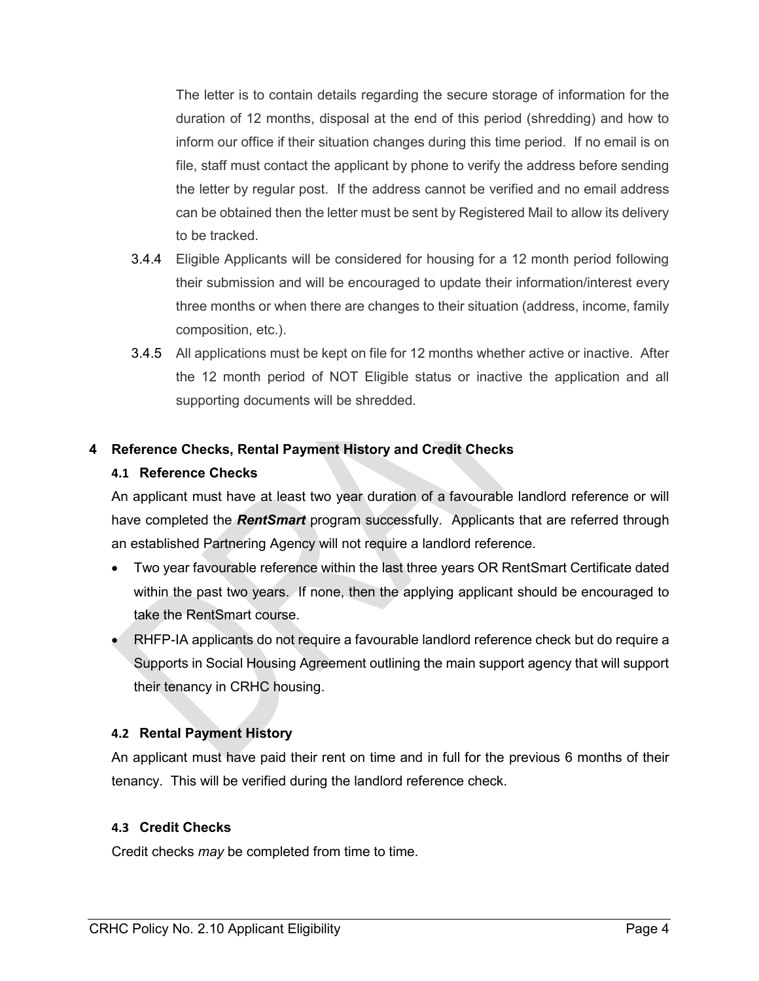The letter is to contain details regarding the secure storage of information for the duration of 12 months, disposal at the end of this period (shredding) and how to inform our office if their situation changes during this time period. If no email is on file, staff must contact the applicant by phone to verify the address before sending the letter by regular post. If the address cannot be verified and no email address can be obtained then the letter must be sent by Registered Mail to allow its delivery to be tracked.

- 3.4.4 Eligible Applicants will be considered for housing for a 12 month period following their submission and will be encouraged to update their information/interest every three months or when there are changes to their situation (address, income, family composition, etc.).
- 3.4.5 All applications must be kept on file for 12 months whether active or inactive. After the 12 month period of NOT Eligible status or inactive the application and all supporting documents will be shredded.

#### **4 Reference Checks, Rental Payment History and Credit Checks**

#### **4.1 Reference Checks**

An applicant must have at least two year duration of a favourable landlord reference or will have completed the *RentSmart* program successfully. Applicants that are referred through an established Partnering Agency will not require a landlord reference.

- Two year favourable reference within the last three years OR RentSmart Certificate dated within the past two years. If none, then the applying applicant should be encouraged to take the RentSmart course.
- RHFP-IA applicants do not require a favourable landlord reference check but do require a Supports in Social Housing Agreement outlining the main support agency that will support their tenancy in CRHC housing.

#### **4.2 Rental Payment History**

An applicant must have paid their rent on time and in full for the previous 6 months of their tenancy. This will be verified during the landlord reference check.

#### **4.3 Credit Checks**

Credit checks *may* be completed from time to time.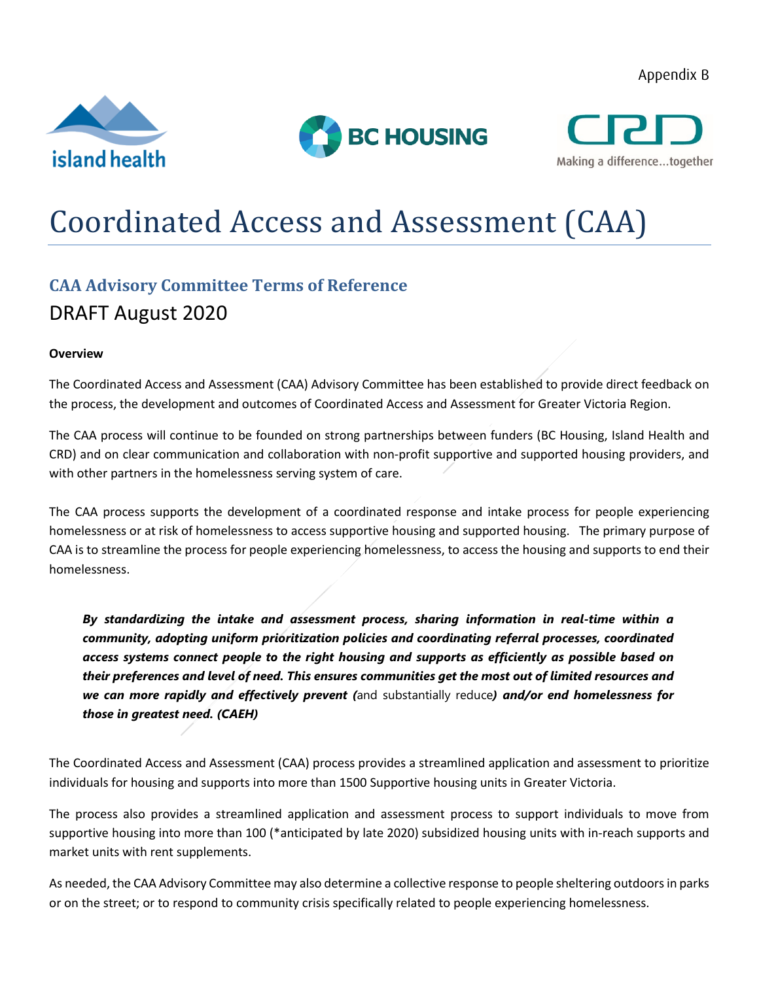Appendix B







# Coordinated Access and Assessment (CAA)

### **CAA Advisory Committee Terms of Reference** DRAFT August 2020

#### **Overview**

The Coordinated Access and Assessment (CAA) Advisory Committee has been established to provide direct feedback on the process, the development and outcomes of Coordinated Access and Assessment for Greater Victoria Region.

The CAA process will continue to be founded on strong partnerships between funders (BC Housing, Island Health and CRD) and on clear communication and collaboration with non-profit supportive and supported housing providers, and with other partners in the homelessness serving system of care.

The CAA process supports the development of a coordinated response and intake process for people experiencing homelessness or at risk of homelessness to access supportive housing and supported housing. The primary purpose of CAA is to streamline the process for people experiencing homelessness, to access the housing and supports to end their homelessness.

*By standardizing the intake and assessment process, sharing information in real-time within a community, adopting uniform prioritization policies and coordinating referral processes, coordinated access systems connect people to the right housing and supports as efficiently as possible based on their preferences and level of need. This ensures communities get the most out of limited resources and we can more rapidly and effectively prevent (*and substantially reduce*) and/or end homelessness for those in greatest need. (CAEH)*

The Coordinated Access and Assessment (CAA) process provides a streamlined application and assessment to prioritize individuals for housing and supports into more than 1500 Supportive housing units in Greater Victoria.

The process also provides a streamlined application and assessment process to support individuals to move from supportive housing into more than 100 (\*anticipated by late 2020) subsidized housing units with in-reach supports and market units with rent supplements.

As needed, the CAA Advisory Committee may also determine a collective response to people sheltering outdoors in parks or on the street; or to respond to community crisis specifically related to people experiencing homelessness.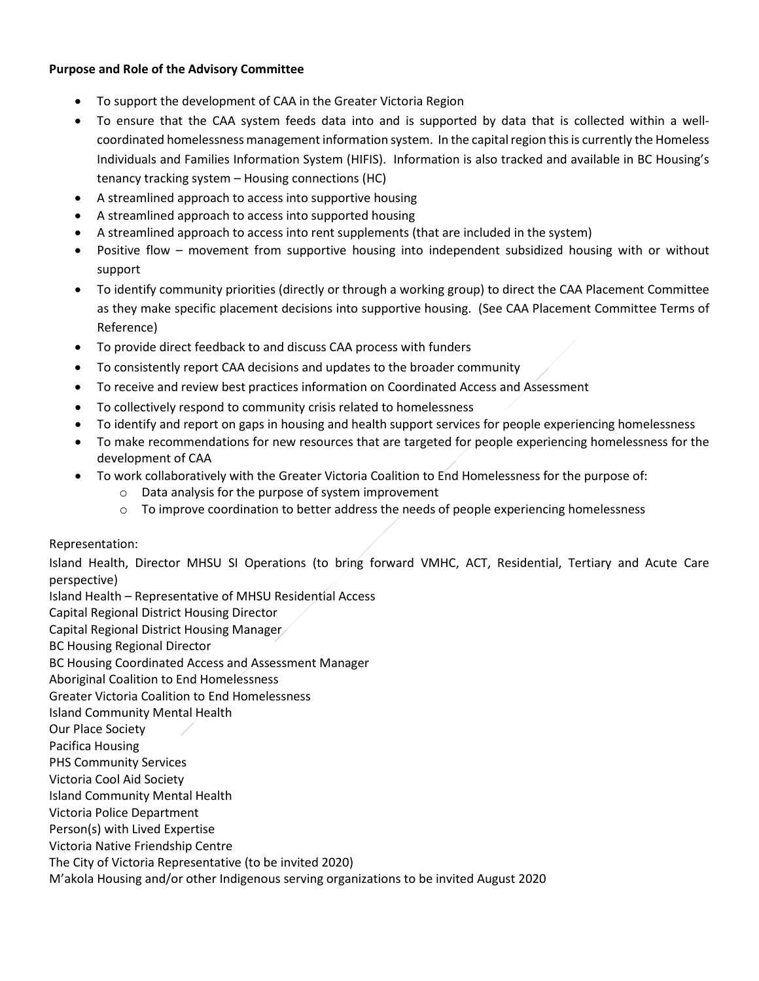#### **Purpose and Role of the Advisory Committee**

- To support the development of CAA in the Greater Victoria Region
- To ensure that the CAA system feeds data into and is supported by data that is collected within a wellcoordinated homelessness management information system. In the capital region this is currently the Homeless Individuals and Families Information System (HIFIS). Information is also tracked and available in BC Housing's tenancy tracking system – Housing connections (HC)
- A streamlined approach to access into supportive housing
- A streamlined approach to access into supported housing
- A streamlined approach to access into rent supplements (that are included in the system)
- Positive flow movement from supportive housing into independent subsidized housing with or without support
- To identify community priorities (directly or through a working group) to direct the CAA Placement Committee as they make specific placement decisions into supportive housing. (See CAA Placement Committee Terms of Reference)
- To provide direct feedback to and discuss CAA process with funders
- To consistently report CAA decisions and updates to the broader community
- To receive and review best practices information on Coordinated Access and Assessment
- To collectively respond to community crisis related to homelessness
- To identify and report on gaps in housing and health support services for people experiencing homelessness
- To make recommendations for new resources that are targeted for people experiencing homelessness for the development of CAA
- To work collaboratively with the Greater Victoria Coalition to End Homelessness for the purpose of:
	- o Data analysis for the purpose of system improvement
	- $\circ$  To improve coordination to better address the needs of people experiencing homelessness

#### Representation:

Island Health, Director MHSU SI Operations (to bring forward VMHC, ACT, Residential, Tertiary and Acute Care perspective)

Island Health – Representative of MHSU Residential Access

Capital Regional District Housing Director

Capital Regional District Housing Manager

BC Housing Regional Director

BC Housing Coordinated Access and Assessment Manager

Aboriginal Coalition to End Homelessness

Greater Victoria Coalition to End Homelessness

Island Community Mental Health

Our Place Society

Pacifica Housing

PHS Community Services

Victoria Cool Aid Society

Island Community Mental Health

Victoria Police Department

Person(s) with Lived Expertise

Victoria Native Friendship Centre

The City of Victoria Representative (to be invited 2020)

M'akola Housing and/or other Indigenous serving organizations to be invited August 2020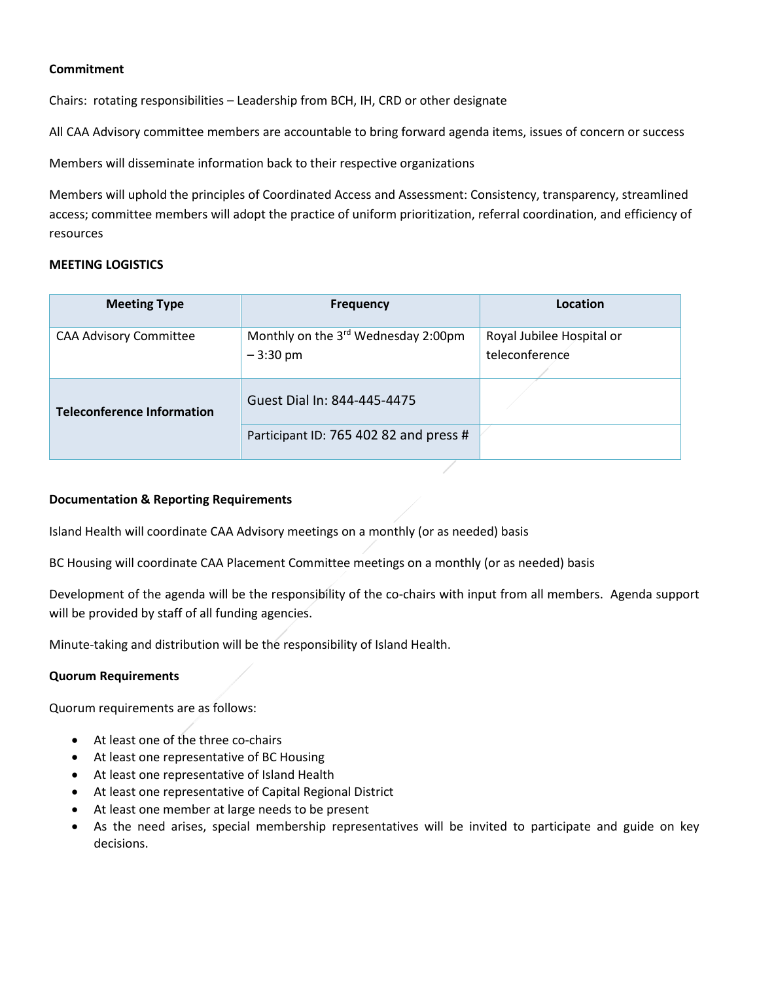#### **Commitment**

Chairs: rotating responsibilities – Leadership from BCH, IH, CRD or other designate

All CAA Advisory committee members are accountable to bring forward agenda items, issues of concern or success

Members will disseminate information back to their respective organizations

Members will uphold the principles of Coordinated Access and Assessment: Consistency, transparency, streamlined access; committee members will adopt the practice of uniform prioritization, referral coordination, and efficiency of resources

#### **MEETING LOGISTICS**

| <b>Meeting Type</b>               | <b>Frequency</b>                       | Location                  |  |
|-----------------------------------|----------------------------------------|---------------------------|--|
| <b>CAA Advisory Committee</b>     | Monthly on the 3rd Wednesday 2:00pm    | Royal Jubilee Hospital or |  |
|                                   | $-3:30 \text{ pm}$                     | teleconference            |  |
|                                   |                                        |                           |  |
| <b>Teleconference Information</b> | Guest Dial In: 844-445-4475            |                           |  |
|                                   | Participant ID: 765 402 82 and press # |                           |  |

#### **Documentation & Reporting Requirements**

Island Health will coordinate CAA Advisory meetings on a monthly (or as needed) basis

BC Housing will coordinate CAA Placement Committee meetings on a monthly (or as needed) basis

Development of the agenda will be the responsibility of the co-chairs with input from all members. Agenda support will be provided by staff of all funding agencies.

Minute-taking and distribution will be the responsibility of Island Health.

#### **Quorum Requirements**

Quorum requirements are as follows:

- At least one of the three co-chairs
- At least one representative of BC Housing
- At least one representative of Island Health
- At least one representative of Capital Regional District
- At least one member at large needs to be present
- As the need arises, special membership representatives will be invited to participate and guide on key decisions.